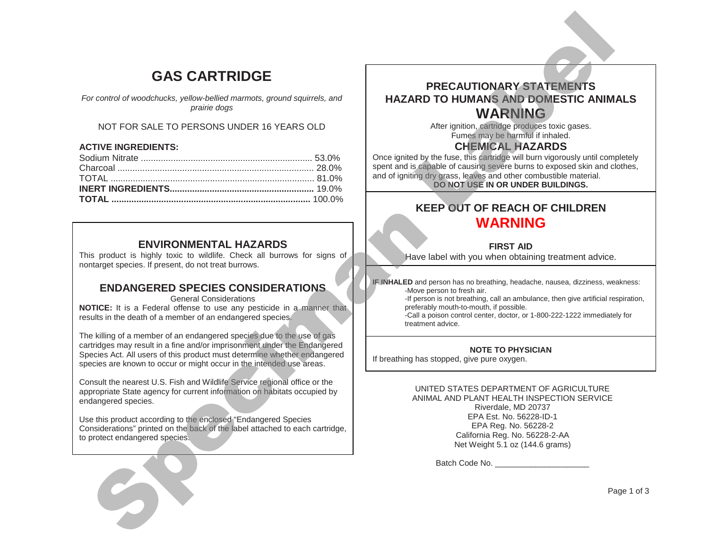# **GAS CARTRIDGE**

### NOT FOR SALE TO PERSONS UNDER 16 YEARS OLD

#### **ACTIVE INGREDIENTS:**

| <b>GAS CARTRIDGE</b>                                                                                                                                                                                                                                                                                   |                                                                                                                                                                                                                                                                                                                            |
|--------------------------------------------------------------------------------------------------------------------------------------------------------------------------------------------------------------------------------------------------------------------------------------------------------|----------------------------------------------------------------------------------------------------------------------------------------------------------------------------------------------------------------------------------------------------------------------------------------------------------------------------|
| For control of woodchucks, yellow-bellied marmots, ground squirrels, and<br>prairie dogs                                                                                                                                                                                                               | <b>PRECAUTIONARY STATEMENTS</b><br><b>HAZARD TO HUMANS AND DOMESTIC ANIM</b><br><b>WARNING</b>                                                                                                                                                                                                                             |
| NOT FOR SALE TO PERSONS UNDER 16 YEARS OLD                                                                                                                                                                                                                                                             | After ignition, cartridge produces toxic gases.<br>Fumes may be harmful if inhaled.                                                                                                                                                                                                                                        |
| <b>ACTIVE INGREDIENTS:</b>                                                                                                                                                                                                                                                                             | <b>CHEMICAL RAZARDS</b><br>Once ignited by the fuse, this cartridge will burn vigorously until com<br>spent and is capable of causing severe burns to exposed skin and c<br>and of igniting dry grass, leaves and other combustible material.<br>DO NOT USE IN OR UNDER BUILDINGS.<br><b>KEEP OUT OF REACH OF CHILDREN</b> |
|                                                                                                                                                                                                                                                                                                        | <b>WARNING</b>                                                                                                                                                                                                                                                                                                             |
| <b>ENVIRONMENTAL HAZARDS</b><br>This product is highly toxic to wildlife. Check all burrows for signs of<br>nontarget species. If present, do not treat burrows.                                                                                                                                       | <b>FIRST AID</b><br>Have label with you when obtaining treatment advice.                                                                                                                                                                                                                                                   |
| <b>ENDANGERED SPECIES CONSIDERATIONS</b><br><b>General Considerations</b><br>NOTICE: It is a Federal offense to use any pesticide in a manner that<br>results in the death of a member of an endangered species.                                                                                       | IF INHALED and person has no breathing, headache, nausea, dizziness, we<br>-Move person to fresh air.<br>-If person is not breathing, call an ambulance, then give artificial re<br>preferably mouth-to-mouth, if possible.<br>-Call a poison control center, doctor, or 1-800-222-1222 immediate<br>treatment advice.     |
| The killing of a member of an endangered species due to the use of gas<br>cartridges may result in a fine and/or imprisonment under the Endangered<br>Species Act. All users of this product must determine whether endangered<br>species are known to occur or might occur in the intended use areas. | <b>NOTE TO PHYSICIAN</b><br>If breathing has stopped, give pure oxygen.                                                                                                                                                                                                                                                    |
| Consult the nearest U.S. Fish and Wildlife Service regional office or the<br>appropriate State agency for current information on habitats occupied by<br>endangered species.                                                                                                                           | UNITED STATES DEPARTMENT OF AGRICULTURE<br>ANIMAL AND PLANT HEALTH INSPECTION SERVICE<br>Riverdale, MD 20737                                                                                                                                                                                                               |
| Use this product according to the enclosed "Endangered Species<br>Considerations" printed on the back of the label attached to each cartridge,<br>to protect endangered species.                                                                                                                       | EPA Est. No. 56228-ID-1<br>EPA Reg. No. 56228-2<br>California Reg. No. 56228-2-AA<br>Net Weight 5.1 oz (144.6 grams)                                                                                                                                                                                                       |
|                                                                                                                                                                                                                                                                                                        |                                                                                                                                                                                                                                                                                                                            |
|                                                                                                                                                                                                                                                                                                        | P <sub>i</sub>                                                                                                                                                                                                                                                                                                             |

## **ENVIRONMENTAL HAZARDS**

## **ENDANGERED SPECIES CONSIDERATIONS**

## **PRECAUTIONARY STATEMENTS HAZARD TO HUMANS AND DOMESTIC ANIMALS WARNING**

## **CHEMICAL HAZARDS**

Once ignited by the fuse, this cartridge will burn vigorously until completely spent and is capable of causing severe burns to exposed skin and clothes, and of igniting dry grass, leaves and other combustible material. **DO NOT USE IN OR UNDER BUILDINGS.**

## **KEEP OUT OF REACH OF CHILDREN WARNING**

## **FIRST AID**

**IF INHALED** and person has no breathing, headache, nausea, dizziness, weakness: -Move person to fresh air.

-If person is not breathing, call an ambulance, then give artificial respiration, preferably mouth-to-mouth, if possible.

-Call a poison control center, doctor, or 1-800-222-1222 immediately for treatment advice.

#### **NOTE TO PHYSICIAN**

#### UNITED STATES DEPARTMENT OF AGRICULTURE ANIMAL AND PLANT HEALTH INSPECTION SERVICE Riverdale, MD 20737 EPA Est. No. 56228-ID-1 EPA Reg. No. 56228-2 California Reg. No. 56228-2-AA Net Weight 5.1 oz (144.6 grams)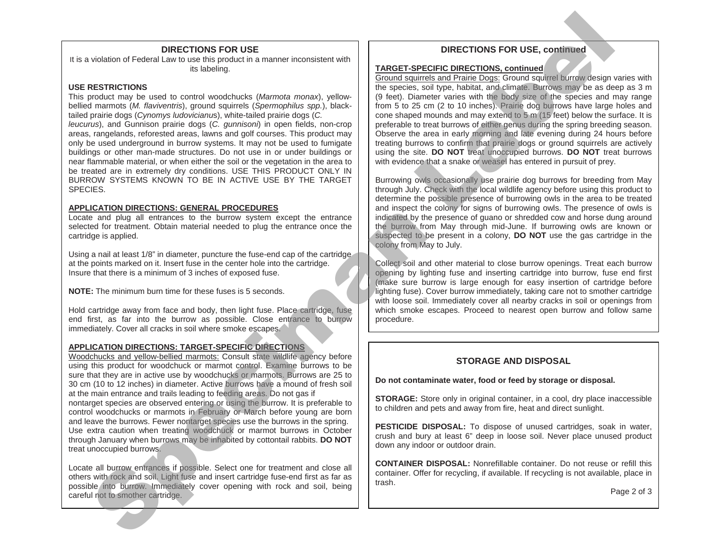#### **DIRECTIONS FOR USE**

It is a violation of Federal Law to use this product in a manner inconsistent with its labeling.

#### **USE RESTRICTIONS**

This product may be used to control woodchucks (*Marmota monax*), yellowbellied marmots (*M. flaviventris*), ground squirrels (*Spermophilus spp.*), blacktailed prairie dogs (*Cynomys ludovicianu*s), white-tailed prairie dogs (*C. leucurus*), and Gunnison prairie dogs (*C. gunnisoni*) in open fields, non-crop areas, rangelands, reforested areas, lawns and golf courses. This product may only be used underground in burrow systems. It may not be used to fumigate buildings or other man-made structures. Do not use in or under buildings or near flammable material, or when either the soil or the vegetation in the area to be treated are in extremely dry conditions. USE THIS PRODUCT ONLY IN BURROW SYSTEMS KNOWN TO BE IN ACTIVE USE BY THE TARGET SPECIES.

#### **APPLICATION DIRECTIONS: GENERAL PROCEDURES**

Locate and plug all entrances to the burrow system except the entrance selected for treatment. Obtain material needed to plug the entrance once the cartridge is applied.

Using a nail at least 1/8" in diameter, puncture the fuse-end cap of the cartridge at the points marked on it. Insert fuse in the center hole into the cartridge. Insure that there is a minimum of 3 inches of exposed fuse.

**NOTE:** The minimum burn time for these fuses is 5 seconds.

Hold cartridge away from face and body, then light fuse. Place cartridge, fuse end first, as far into the burrow as possible. Close entrance to burrow immediately. Cover all cracks in soil where smoke escapes.

#### **APPLICATION DIRECTIONS: TARGET-SPECIFIC DIRECTIONS**

Woodchucks and yellow-bellied marmots: Consult state wildlife agency before using this product for woodchuck or marmot control. Examine burrows to be sure that they are in active use by woodchucks or marmots. Burrows are 25 to 30 cm (10 to 12 inches) in diameter. Active burrows have a mound of fresh soil at the main entrance and trails leading to feeding areas. Do not gas if nontarget species are observed entering or using the burrow. It is preferable to control woodchucks or marmots in February or March before young are born and leave the burrows. Fewer nontarget species use the burrows in the spring. Use extra caution when treating woodchuck or marmot burrows in October through January when burrows may be inhabited by cottontail rabbits. **DO NOT** treat unoccupied burrows. volstin d'Esperanto de la manife para de la manife de la manife de la manife de la manife de la manife de la manife de la manife de la manife de la manife de la manife de la manife de la manife de la manife de la manife d

Locate all burrow entrances if possible. Select one for treatment and close all others with rock and soil. Light fuse and insert cartridge fuse-end first as far as possible into burrow. Immediately cover opening with rock and soil, being careful not to smother cartridge.

#### **DIRECTIONS FOR USE, continued**

#### **TARGET-SPECIFIC DIRECTIONS, continued**

Ground squirrels and Prairie Dogs: Ground squirrel burrow design varies with the species, soil type, habitat, and climate. Burrows may be as deep as 3 m (9 feet). Diameter varies with the body size of the species and may range from 5 to 25 cm (2 to 10 inches). Prairie dog burrows have large holes and cone shaped mounds and may extend to 5 m (15 feet) below the surface. It is preferable to treat burrows of either genus during the spring breeding season. Observe the area in early morning and late evening during 24 hours before treating burrows to confirm that prairie dogs or ground squirrels are actively using the site. **DO NOT** treat unoccupied burrows. **DO NOT** treat burrows with evidence that a snake or weasel has entered in pursuit of prey.

Burrowing owls occasionally use prairie dog burrows for breeding from May through July. Check with the local wildlife agency before using this product to determine the possible presence of burrowing owls in the area to be treated and inspect the colony for signs of burrowing owls. The presence of owls is indicated by the presence of guano or shredded cow and horse dung around the burrow from May through mid-June. If burrowing owls are known or suspected to be present in a colony, **DO NOT** use the gas cartridge in the colony from May to July.

Collect soil and other material to close burrow openings. Treat each burrow opening by lighting fuse and inserting cartridge into burrow, fuse end first (make sure burrow is large enough for easy insertion of cartridge before lighting fuse). Cover burrow immediately, taking care not to smother cartridge with loose soil. Immediately cover all nearby cracks in soil or openings from which smoke escapes. Proceed to nearest open burrow and follow same procedure.

#### **STORAGE AND DISPOSAL**

**Do not contaminate water, food or feed by storage or disposal.**

**STORAGE:** Store only in original container, in a cool, dry place inaccessible to children and pets and away from fire, heat and direct sunlight.

**PESTICIDE DISPOSAL:** To dispose of unused cartridges, soak in water, crush and bury at least 6" deep in loose soil. Never place unused product down any indoor or outdoor drain.

**CONTAINER DISPOSAL:** Nonrefillable container. Do not reuse or refill this container. Offer for recycling, if available. If recycling is not available, place in trash.

Page 2 of 3